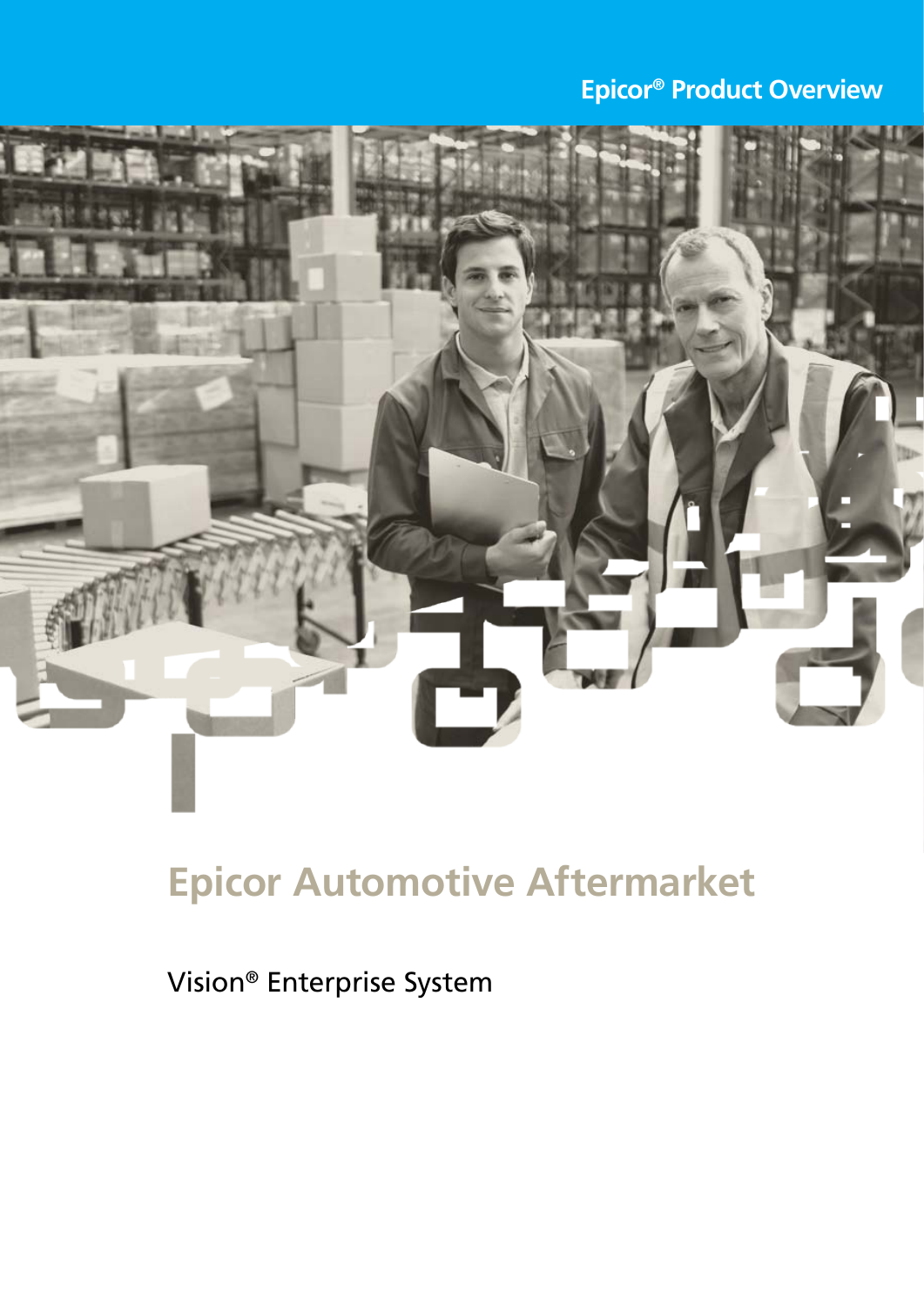# **Epicor® Product Overview**



# **Epicor Automotive Aftermarket**

Vision® Enterprise System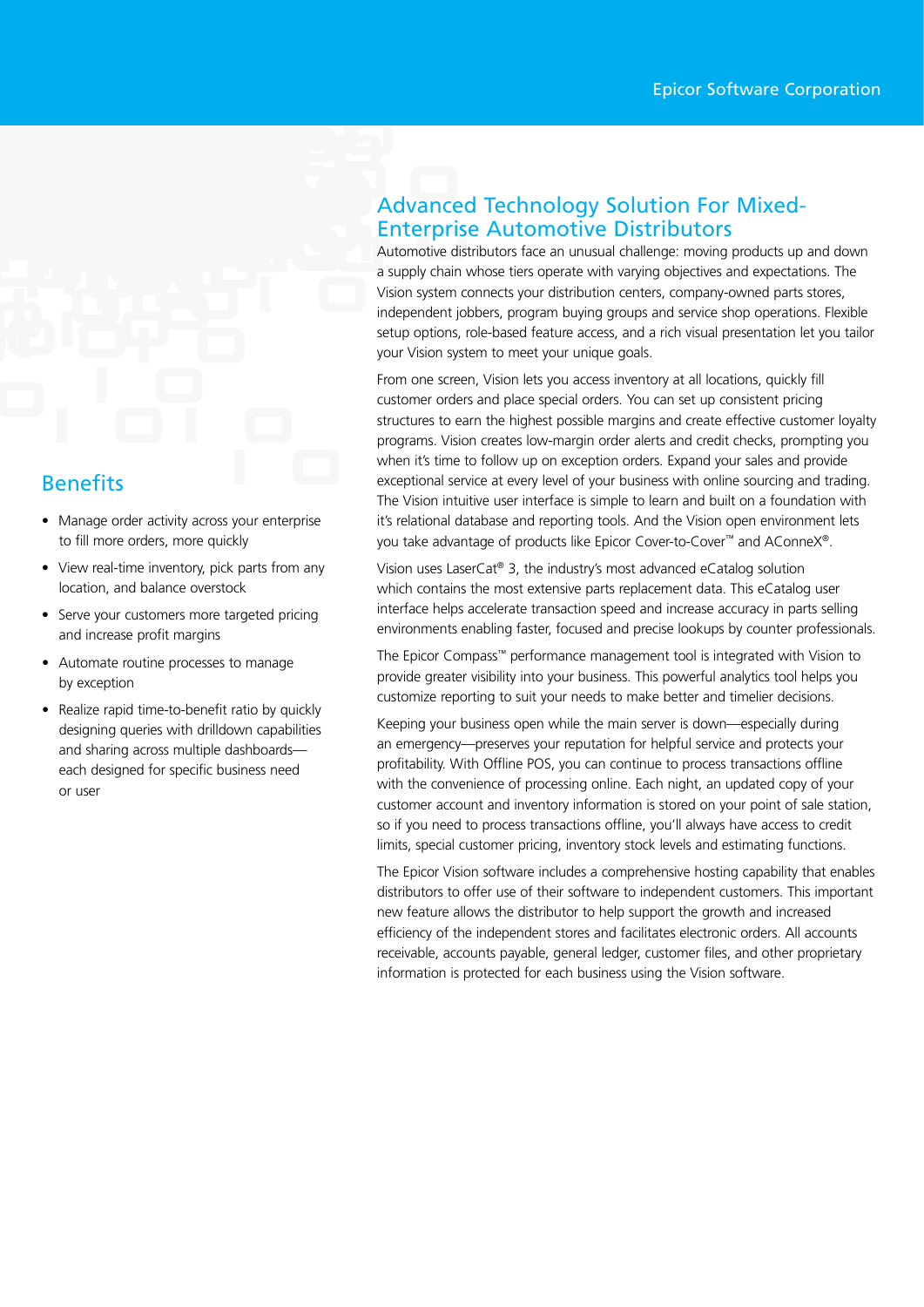# **Benefits**

- Manage order activity across your enterprise to fill more orders, more quickly
- View real-time inventory, pick parts from any location, and balance overstock
- Serve your customers more targeted pricing and increase profit margins
- Automate routine processes to manage by exception
- Realize rapid time-to-benefit ratio by quickly designing queries with drilldown capabilities and sharing across multiple dashboards each designed for specific business need or user

### Advanced Technology Solution For Mixed-Enterprise Automotive Distributors

Automotive distributors face an unusual challenge: moving products up and down a supply chain whose tiers operate with varying objectives and expectations. The Vision system connects your distribution centers, company-owned parts stores, independent jobbers, program buying groups and service shop operations. Flexible setup options, role-based feature access, and a rich visual presentation let you tailor your Vision system to meet your unique goals.

From one screen, Vision lets you access inventory at all locations, quickly fill customer orders and place special orders. You can set up consistent pricing structures to earn the highest possible margins and create effective customer loyalty programs. Vision creates low-margin order alerts and credit checks, prompting you when it's time to follow up on exception orders. Expand your sales and provide exceptional service at every level of your business with online sourcing and trading. The Vision intuitive user interface is simple to learn and built on a foundation with it's relational database and reporting tools. And the Vision open environment lets you take advantage of products like Epicor Cover-to-Cover™ and AConneX®.

Vision uses LaserCat® 3, the industry's most advanced eCatalog solution which contains the most extensive parts replacement data. This eCatalog user interface helps accelerate transaction speed and increase accuracy in parts selling environments enabling faster, focused and precise lookups by counter professionals.

The Epicor Compass™ performance management tool is integrated with Vision to provide greater visibility into your business. This powerful analytics tool helps you customize reporting to suit your needs to make better and timelier decisions.

Keeping your business open while the main server is down—especially during an emergency—preserves your reputation for helpful service and protects your profitability. With Offline POS, you can continue to process transactions offline with the convenience of processing online. Each night, an updated copy of your customer account and inventory information is stored on your point of sale station, so if you need to process transactions offline, you'll always have access to credit limits, special customer pricing, inventory stock levels and estimating functions.

The Epicor Vision software includes a comprehensive hosting capability that enables distributors to offer use of their software to independent customers. This important new feature allows the distributor to help support the growth and increased efficiency of the independent stores and facilitates electronic orders. All accounts receivable, accounts payable, general ledger, customer files, and other proprietary information is protected for each business using the Vision software.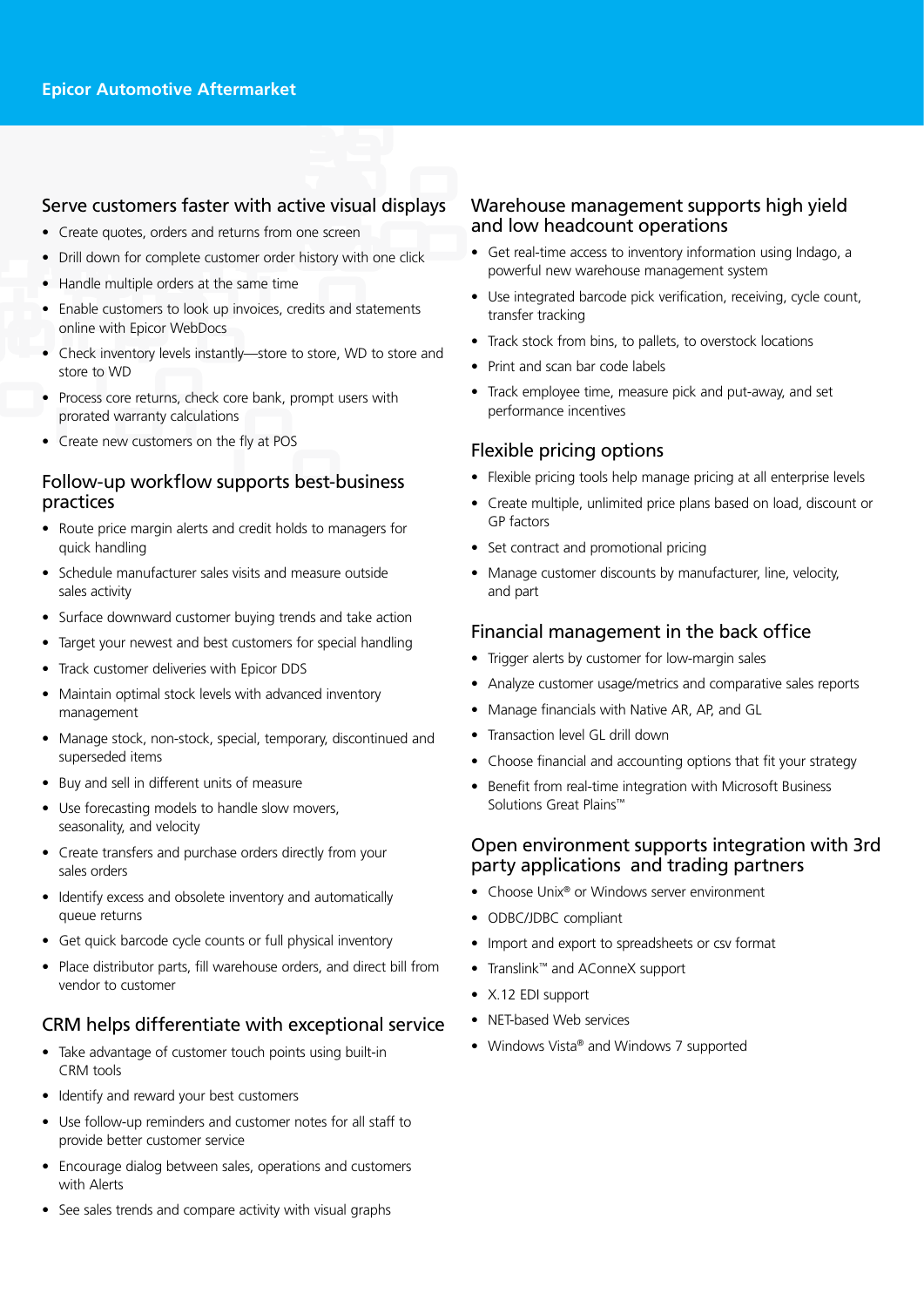#### Serve customers faster with active visual displays

- Create quotes, orders and returns from one screen
- Drill down for complete customer order history with one click
- • Handle multiple orders at the same time
- Enable customers to look up invoices, credits and statements online with Epicor WebDocs
- Check inventory levels instantly—store to store, WD to store and store to WD
- Process core returns, check core bank, prompt users with prorated warranty calculations
- • Create new customers on the fly at POS

#### Follow-up workflow supports best-business practices

- Route price margin alerts and credit holds to managers for quick handling
- Schedule manufacturer sales visits and measure outside sales activity
- Surface downward customer buying trends and take action
- Target your newest and best customers for special handling
- • Track customer deliveries with Epicor DDS
- Maintain optimal stock levels with advanced inventory management
- Manage stock, non-stock, special, temporary, discontinued and superseded items
- • Buy and sell in different units of measure
- Use forecasting models to handle slow movers, seasonality, and velocity
- Create transfers and purchase orders directly from your sales orders
- Identify excess and obsolete inventory and automatically queue returns
- Get quick barcode cycle counts or full physical inventory
- Place distributor parts, fill warehouse orders, and direct bill from vendor to customer

#### CRM helps differentiate with exceptional service

- Take advantage of customer touch points using built-in CRM tools
- Identify and reward your best customers
- Use follow-up reminders and customer notes for all staff to provide better customer service
- Encourage dialog between sales, operations and customers with Alerts
- See sales trends and compare activity with visual graphs

#### Warehouse management supports high yield and low headcount operations

- Get real-time access to inventory information using Indago, a powerful new warehouse management system
- Use integrated barcode pick verification, receiving, cycle count, transfer tracking
- Track stock from bins, to pallets, to overstock locations
- Print and scan bar code labels
- Track employee time, measure pick and put-away, and set performance incentives

#### Flexible pricing options

- Flexible pricing tools help manage pricing at all enterprise levels
- Create multiple, unlimited price plans based on load, discount or GP factors
- Set contract and promotional pricing
- Manage customer discounts by manufacturer, line, velocity, and part

#### Financial management in the back office

- Trigger alerts by customer for low-margin sales
- Analyze customer usage/metrics and comparative sales reports
- Manage financials with Native AR, AP, and GL
- Transaction level GL drill down
- Choose financial and accounting options that fit your strategy
- Benefit from real-time integration with Microsoft Business Solutions Great Plains™

#### Open environment supports integration with 3rd party applications and trading partners

- Choose Unix® or Windows server environment
- ODBC/JDBC compliant
- Import and export to spreadsheets or csv format
- • Translink™ and AConneX support
- • X.12 EDI support
- NET-based Web services
- Windows Vista® and Windows 7 supported